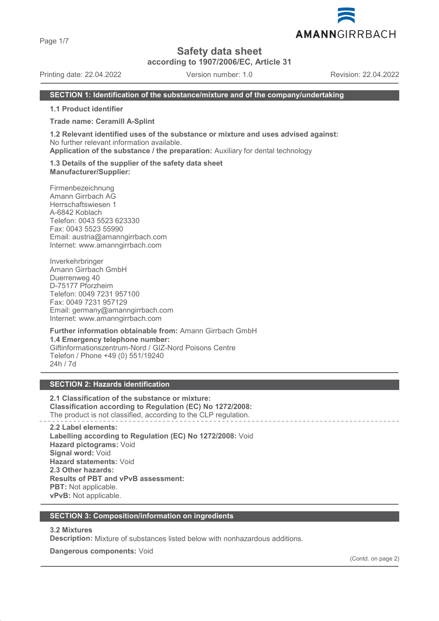Page 1/7

# **Safety data sheet**

**according to 1907/2006/EC, Article 31**

Printing date: 22.04.2022 Version number: 1.0 Revision: 22.04.2022

#### **SECTION 1: Identification of the substance/mixture and of the company/undertaking**

**1.1 Product identifier**

**Trade name: Ceramill A-Splint**

**1.2 Relevant identified uses of the substance or mixture and uses advised against:** No further relevant information available.

**Application of the substance / the preparation:** Auxiliary for dental technology

**1.3 Details of the supplier of the safety data sheet Manufacturer/Supplier:**

Firmenbezeichnung Amann Girrbach AG Herrschaftswiesen 1 A-6842 Koblach Telefon: 0043 5523 623330 Fax: 0043 5523 55990 Email: austria@amanngirrbach.com Internet: www.amanngirrbach.com

Inverkehrbringer Amann Girrbach GmbH Duerrenweg 40 D-75177 Pforzheim Telefon: 0049 7231 957100 Fax: 0049 7231 957129 Email: germany@amanngirrbach.com Internet: www.amanngirrbach.com

**Further information obtainable from:** Amann Girrbach GmbH **1.4 Emergency telephone number:** Giftinformationszentrum-Nord / GIZ-Nord Poisons Centre Telefon / Phone +49 (0) 551/19240 24h / 7d

# **SECTION 2: Hazards identification**

**2.1 Classification of the substance or mixture: Classification according to Regulation (EC) No 1272/2008:** The product is not classified, according to the CLP regulation.

**2.2 Label elements: Labelling according to Regulation (EC) No 1272/2008:** Void **Hazard pictograms:** Void **Signal word:** Void **Hazard statements:** Void **2.3 Other hazards: Results of PBT and vPvB assessment: PBT:** Not applicable. **vPvB:** Not applicable.

#### **SECTION 3: Composition/information on ingredients**

#### **3.2 Mixtures**

**Description:** Mixture of substances listed below with nonhazardous additions.

**Dangerous components:** Void

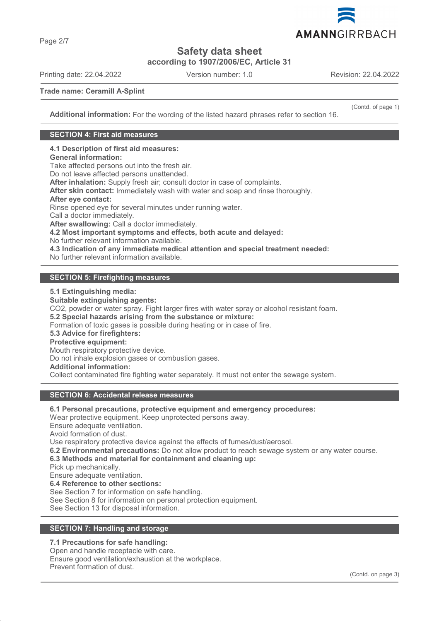

**Safety data sheet**

**according to 1907/2006/EC, Article 31**

Printing date: 22.04.2022 Version number: 1.0 Revision: 22.04.2022

(Contd. of page 1)

**Trade name: Ceramill A-Splint**

**Additional information:** For the wording of the listed hazard phrases refer to section 16.

#### **SECTION 4: First aid measures**

**4.1 Description of first aid measures:**

# **General information:**

Take affected persons out into the fresh air.

Do not leave affected persons unattended.

**After inhalation:** Supply fresh air; consult doctor in case of complaints.

**After skin contact:** Immediately wash with water and soap and rinse thoroughly.

#### **After eye contact:**

Rinse opened eye for several minutes under running water.

Call a doctor immediately.

**After swallowing:** Call a doctor immediately.

**4.2 Most important symptoms and effects, both acute and delayed:**

No further relevant information available.

**4.3 Indication of any immediate medical attention and special treatment needed:**

No further relevant information available.

# **SECTION 5: Firefighting measures**

**5.1 Extinguishing media:**

**Suitable extinguishing agents:** CO2, powder or water spray. Fight larger fires with water spray or alcohol resistant foam. **5.2 Special hazards arising from the substance or mixture:** Formation of toxic gases is possible during heating or in case of fire. **5.3 Advice for firefighters: Protective equipment:** Mouth respiratory protective device. Do not inhale explosion gases or combustion gases. **Additional information:** Collect contaminated fire fighting water separately. It must not enter the sewage system.

#### **SECTION 6: Accidental release measures**

**6.1 Personal precautions, protective equipment and emergency procedures:** Wear protective equipment. Keep unprotected persons away.

Ensure adequate ventilation.

Avoid formation of dust.

Use respiratory protective device against the effects of fumes/dust/aerosol.

**6.2 Environmental precautions:** Do not allow product to reach sewage system or any water course.

**6.3 Methods and material for containment and cleaning up:**

Pick up mechanically.

Ensure adequate ventilation.

**6.4 Reference to other sections:**

See Section 7 for information on safe handling.

See Section 8 for information on personal protection equipment.

See Section 13 for disposal information.

# **SECTION 7: Handling and storage**

### **7.1 Precautions for safe handling:**

Open and handle receptacle with care. Ensure good ventilation/exhaustion at the workplace. Prevent formation of dust.

Page 2/7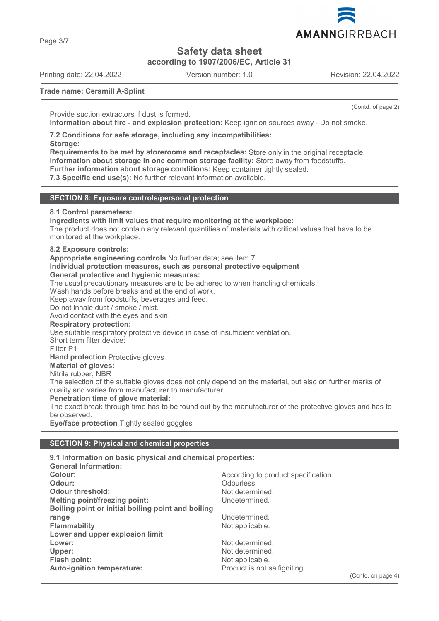Page 3/7

**Safety data sheet**

**according to 1907/2006/EC, Article 31**

Printing date: 22.04.2022 Version number: 1.0 Revision: 22.04.2022

(Contd. of page 2)

**Trade name: Ceramill A-Splint**

Provide suction extractors if dust is formed.

**Information about fire - and explosion protection:** Keep ignition sources away - Do not smoke.

**7.2 Conditions for safe storage, including any incompatibilities: Storage:**

**Requirements to be met by storerooms and receptacles:** Store only in the original receptacle. **Information about storage in one common storage facility:** Store away from foodstuffs. **Further information about storage conditions:** Keep container tightly sealed.

**7.3 Specific end use(s):** No further relevant information available.

#### **SECTION 8: Exposure controls/personal protection**

#### **8.1 Control parameters:**

**Ingredients with limit values that require monitoring at the workplace:**

The product does not contain any relevant quantities of materials with critical values that have to be monitored at the workplace.

#### **8.2 Exposure controls:**

**Appropriate engineering controls** No further data; see item 7.

#### **Individual protection measures, such as personal protective equipment General protective and hygienic measures:**

The usual precautionary measures are to be adhered to when handling chemicals.

Wash hands before breaks and at the end of work.

Keep away from foodstuffs, beverages and feed.

Do not inhale dust / smoke / mist.

Avoid contact with the eyes and skin.

#### **Respiratory protection:**

Use suitable respiratory protective device in case of insufficient ventilation.

Short term filter device:

Filter P1

**Hand protection** Protective gloves

# **Material of gloves:**

Nitrile rubber, NBR

The selection of the suitable gloves does not only depend on the material, but also on further marks of quality and varies from manufacturer to manufacturer.

#### **Penetration time of glove material:**

The exact break through time has to be found out by the manufacturer of the protective gloves and has to be observed.

**Eye/face protection** Tightly sealed goggles

#### **SECTION 9: Physical and chemical properties**

| 9.1 Information on basic physical and chemical properties: |                                    |
|------------------------------------------------------------|------------------------------------|
| <b>General Information:</b>                                |                                    |
| Colour:                                                    | According to product specification |
| Odour:                                                     | <b>Odourless</b>                   |
| <b>Odour threshold:</b>                                    | Not determined.                    |
| <b>Melting point/freezing point:</b>                       | Undetermined.                      |
| Boiling point or initial boiling point and boiling         |                                    |
| range                                                      | Undetermined.                      |
| <b>Flammability</b>                                        | Not applicable.                    |
| Lower and upper explosion limit                            |                                    |
| Lower:                                                     | Not determined.                    |
| Upper:                                                     | Not determined.                    |
| Flash point:                                               | Not applicable.                    |
| Auto-ignition temperature:                                 | Product is not selfigniting.       |
|                                                            |                                    |

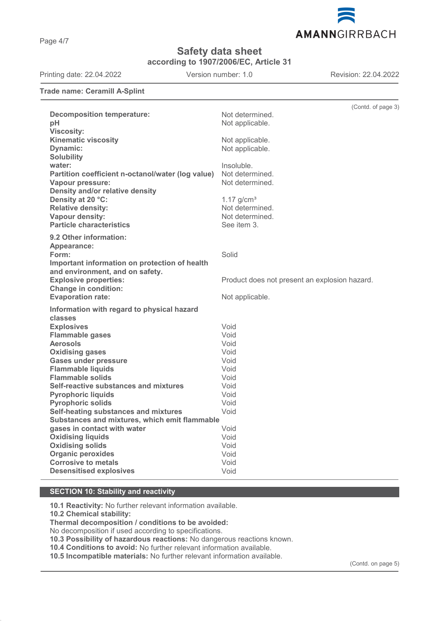Page 4/7

# **Safety data sheet**

**according to 1907/2006/EC, Article 31**

Printing date: 22.04.2022 Version number: 1.0 Revision: 22.04.2022

AMANNGIRRBACH

**Trade name: Ceramill A-Splint**

|                                                             | (Contd. of page 3)                            |
|-------------------------------------------------------------|-----------------------------------------------|
| <b>Decomposition temperature:</b>                           | Not determined.                               |
| pH                                                          | Not applicable.                               |
| <b>Viscosity:</b>                                           |                                               |
| <b>Kinematic viscosity</b>                                  | Not applicable.                               |
| <b>Dynamic:</b>                                             | Not applicable.                               |
| <b>Solubility</b>                                           |                                               |
| water:                                                      | Insoluble.                                    |
| Partition coefficient n-octanol/water (log value)           | Not determined.                               |
| Vapour pressure:                                            | Not determined.                               |
| Density and/or relative density                             |                                               |
| Density at 20 °C:                                           | $1.17$ g/cm <sup>3</sup>                      |
| <b>Relative density:</b><br>Vapour density:                 | Not determined.<br>Not determined.            |
| <b>Particle characteristics</b>                             | See item 3.                                   |
|                                                             |                                               |
| 9.2 Other information:                                      |                                               |
| Appearance:                                                 |                                               |
| Form:                                                       | Solid                                         |
| Important information on protection of health               |                                               |
| and environment, and on safety.                             |                                               |
| <b>Explosive properties:</b><br><b>Change in condition:</b> | Product does not present an explosion hazard. |
| <b>Evaporation rate:</b>                                    | Not applicable.                               |
|                                                             |                                               |
| Information with regard to physical hazard                  |                                               |
| classes                                                     |                                               |
| <b>Explosives</b><br><b>Flammable gases</b>                 | Void<br>Void                                  |
| <b>Aerosols</b>                                             | Void                                          |
| <b>Oxidising gases</b>                                      | Void                                          |
| <b>Gases under pressure</b>                                 | Void                                          |
| <b>Flammable liquids</b>                                    | Void                                          |
| <b>Flammable solids</b>                                     | Void                                          |
| Self-reactive substances and mixtures                       | Void                                          |
| <b>Pyrophoric liquids</b>                                   | Void                                          |
| <b>Pyrophoric solids</b>                                    | Void                                          |
| Self-heating substances and mixtures                        | Void                                          |
| Substances and mixtures, which emit flammable               |                                               |
| gases in contact with water                                 | Void                                          |
| <b>Oxidising liquids</b>                                    | Void                                          |
| <b>Oxidising solids</b>                                     | Void                                          |
| <b>Organic peroxides</b><br><b>Corrosive to metals</b>      | Void<br>Void                                  |
| <b>Desensitised explosives</b>                              | Void                                          |
|                                                             |                                               |

# **SECTION 10: Stability and reactivity**

**10.1 Reactivity:** No further relevant information available.

**10.2 Chemical stability:**

**Thermal decomposition / conditions to be avoided:**

No decomposition if used according to specifications.

**10.3 Possibility of hazardous reactions:** No dangerous reactions known.

**10.4 Conditions to avoid:** No further relevant information available.

**10.5 Incompatible materials:** No further relevant information available.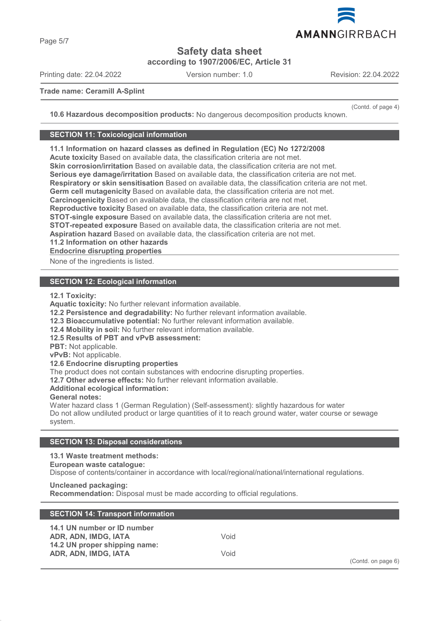

**Safety data sheet**

**according to 1907/2006/EC, Article 31**

Printing date: 22.04.2022 Version number: 1.0 Revision: 22.04.2022

AMANNGIRRBACH

#### **Trade name: Ceramill A-Splint**

(Contd. of page 4)

**10.6 Hazardous decomposition products:** No dangerous decomposition products known.

#### **SECTION 11: Toxicological information**

**11.1 Information on hazard classes as defined in Regulation (EC) No 1272/2008**

**Acute toxicity** Based on available data, the classification criteria are not met.

**Skin corrosion/irritation** Based on available data, the classification criteria are not met.

**Serious eye damage/irritation** Based on available data, the classification criteria are not met.

**Respiratory or skin sensitisation** Based on available data, the classification criteria are not met.

**Germ cell mutagenicity** Based on available data, the classification criteria are not met.

**Carcinogenicity** Based on available data, the classification criteria are not met.

**Reproductive toxicity** Based on available data, the classification criteria are not met.

**STOT-single exposure** Based on available data, the classification criteria are not met.

**STOT-repeated exposure** Based on available data, the classification criteria are not met.

**Aspiration hazard** Based on available data, the classification criteria are not met.

**11.2 Information on other hazards**

**Endocrine disrupting properties** 

None of the ingredients is listed.

### **SECTION 12: Ecological information**

**12.1 Toxicity:**

**Aquatic toxicity:** No further relevant information available.

**12.2 Persistence and degradability:** No further relevant information available.

**12.3 Bioaccumulative potential:** No further relevant information available.

**12.4 Mobility in soil:** No further relevant information available.

**12.5 Results of PBT and vPvB assessment:**

**PBT:** Not applicable.

**vPvB:** Not applicable.

**12.6 Endocrine disrupting properties**

The product does not contain substances with endocrine disrupting properties.

**12.7 Other adverse effects:** No further relevant information available.

**Additional ecological information:**

**General notes:**

Water hazard class 1 (German Regulation) (Self-assessment): slightly hazardous for water Do not allow undiluted product or large quantities of it to reach ground water, water course or sewage system.

# **SECTION 13: Disposal considerations**

# **13.1 Waste treatment methods:**

### **European waste catalogue:**

Dispose of contents/container in accordance with local/regional/national/international regulations.

#### **Uncleaned packaging:**

**Recommendation:** Disposal must be made according to official regulations.

| <b>SECTION 14: Transport information</b>                                             |      |                    |
|--------------------------------------------------------------------------------------|------|--------------------|
| 14.1 UN number or ID number<br>ADR, ADN, IMDG, IATA<br>14.2 UN proper shipping name: | Void |                    |
| ADR, ADN, IMDG, IATA                                                                 | Void | (Contd. on page 6) |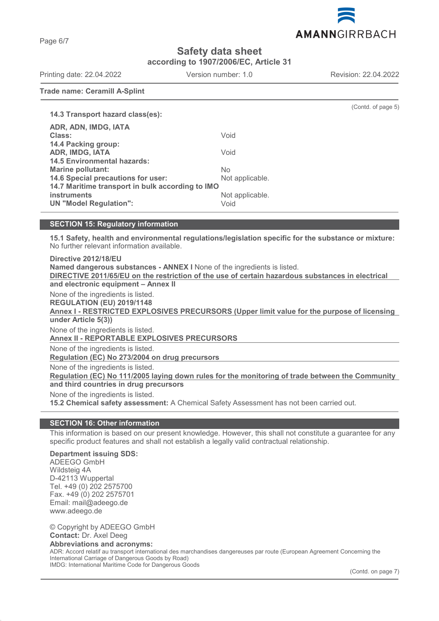AMANNGIRRBACH

**Safety data sheet**

**according to 1907/2006/EC, Article 31**

Printing date: 22.04.2022 Version number: 1.0 Revision: 22.04.2022

**Trade name: Ceramill A-Splint**

|                                                  |                 | (Contd. of page 5) |
|--------------------------------------------------|-----------------|--------------------|
| 14.3 Transport hazard class(es):                 |                 |                    |
| ADR, ADN, IMDG, IATA                             |                 |                    |
| Class:                                           | Void            |                    |
| 14.4 Packing group:                              |                 |                    |
| <b>ADR, IMDG, IATA</b>                           | Void            |                    |
| <b>14.5 Environmental hazards:</b>               |                 |                    |
| <b>Marine pollutant:</b>                         | No.             |                    |
| 14.6 Special precautions for user:               | Not applicable. |                    |
| 14.7 Maritime transport in bulk according to IMO |                 |                    |
| <i>instruments</i>                               | Not applicable. |                    |
| <b>UN "Model Regulation":</b>                    | Void            |                    |
|                                                  |                 |                    |

# **SECTION 15: Regulatory information**

**15.1 Safety, health and environmental regulations/legislation specific for the substance or mixture:** No further relevant information available.

**Directive 2012/18/EU Named dangerous substances - ANNEX I** None of the ingredients is listed. **DIRECTIVE 2011/65/EU on the restriction of the use of certain hazardous substances in electrical and electronic equipment – Annex II** None of the ingredients is listed. **REGULATION (EU) 2019/1148** Annex I - RESTRICTED EXPLOSIVES PRECURSORS (Upper limit value for the purpose of licensing **under Article 5(3))** None of the ingredients is listed. **Annex II - REPORTABLE EXPLOSIVES PRECURSORS**  None of the ingredients is listed. **Regulation (EC) No 273/2004 on drug precursors**  None of the ingredients is listed. Regulation (EC) No 111/2005 laying down rules for the monitoring of trade between the Community **and third countries in drug precursors** None of the ingredients is listed. **15.2 Chemical safety assessment:** A Chemical Safety Assessment has not been carried out.

# **SECTION 16: Other information**

This information is based on our present knowledge. However, this shall not constitute a guarantee for any specific product features and shall not establish a legally valid contractual relationship.

# **Department issuing SDS:**

ADEEGO GmbH Wildsteig 4A D-42113 Wuppertal Tel. +49 (0) 202 2575700 Fax. +49 (0) 202 2575701 Email: mail@adeego.de www.adeego.de

© Copyright by ADEEGO GmbH **Contact:** Dr. Axel Deeg **Abbreviations and acronyms:** ADR: Accord relatif au transport international des marchandises dangereuses par route (European Agreement Concerning the International Carriage of Dangerous Goods by Road)

IMDG: International Maritime Code for Dangerous Goods

(Contd. on page 7)

Page 6/7